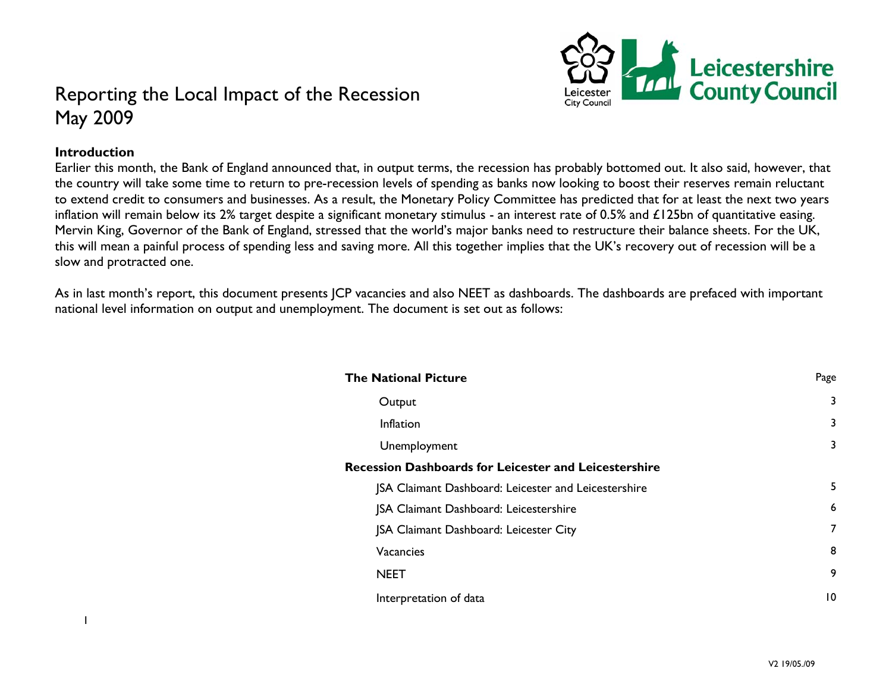

# Reporting the Local Impact of the Recession May 2009

### **Introduction**

Earlier this month, the Bank of England announced that, in output terms, the recession has probably bottomed out. It also said, however, that the country will take some time to return to pre-recession levels of spending as banks now looking to boost their reserves remain reluctant to extend credit to consumers and businesses. As a result, the Monetary Policy Committee has predicted that for at least the next two years inflation will remain below its 2% target despite a significant monetary stimulus - an interest rate of 0.5% and £125bn of quantitative easing. Mervin King, Governor of the Bank of England, stressed that the world's major banks need to restructure their balance sheets. For the UK, this will mean a painful process of spending less and saving more. All this together implies that the UK's recovery out of recession will be a slow and protracted one.

As in last month's report, this document presents JCP vacancies and also NEET as dashboards. The dashboards are prefaced with important national level information on output and unemployment. The document is set out as follows:

| <b>The National Picture</b>                                  | Page |  |
|--------------------------------------------------------------|------|--|
| Output                                                       | 3    |  |
| Inflation                                                    | 3    |  |
| Unemployment                                                 | 3    |  |
| <b>Recession Dashboards for Leicester and Leicestershire</b> |      |  |
| JSA Claimant Dashboard: Leicester and Leicestershire         | 5    |  |
| JSA Claimant Dashboard: Leicestershire                       | 6    |  |
| JSA Claimant Dashboard: Leicester City                       | 7    |  |
| Vacancies                                                    | 8    |  |
| <b>NEET</b>                                                  | 9    |  |
| Interpretation of data                                       | 10   |  |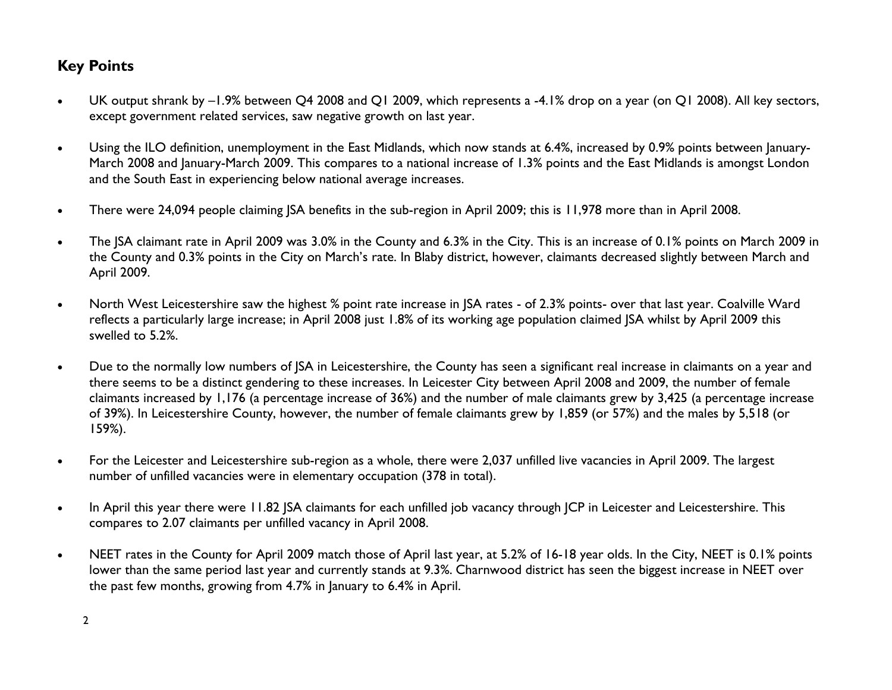# **Key Points**

- $\bullet$  UK output shrank by –1.9% between Q4 2008 and Q1 2009, which represents a -4.1% drop on a year (on Q1 2008). All key sectors, except government related services, saw negative growth on last year.
- $\bullet$  Using the ILO definition, unemployment in the East Midlands, which now stands at 6.4%, increased by 0.9% points between January-March 2008 and January-March 2009. This compares to a national increase of 1.3% points and the East Midlands is amongst London and the South East in experiencing below national average increases.
- $\bullet$ There were 24,094 people claiming JSA benefits in the sub-region in April 2009; this is 11,978 more than in April 2008.
- $\bullet$  The JSA claimant rate in April 2009 was 3.0% in the County and 6.3% in the City. This is an increase of 0.1% points on March 2009 in the County and 0.3% points in the City on March's rate. In Blaby district, however, claimants decreased slightly between March and April 2009.
- $\bullet$  North West Leicestershire saw the highest % point rate increase in JSA rates - of 2.3% points- over that last year. Coalville Ward reflects a particularly large increase; in April 2008 just 1.8% of its working age population claimed JSA whilst by April 2009 this swelled to 5.2%.
- $\bullet$  Due to the normally low numbers of JSA in Leicestershire, the County has seen a significant real increase in claimants on a year and there seems to be a distinct gendering to these increases. In Leicester City between April 2008 and 2009, the number of female claimants increased by 1,176 (a percentage increase of 36%) and the number of male claimants grew by 3,425 (a percentage increase of 39%). In Leicestershire County, however, the number of female claimants grew by 1,859 (or 57%) and the males by 5,518 (or 159%).
- $\bullet$  For the Leicester and Leicestershire sub-region as a whole, there were 2,037 unfilled live vacancies in April 2009. The largest number of unfilled vacancies were in elementary occupation (378 in total).
- $\bullet$ In April this year there were 11.82 JSA claimants for each unfilled job vacancy through JCP in Leicester and Leicestershire. This compares to 2.07 claimants per unfilled vacancy in April 2008.
- $\bullet$  NEET rates in the County for April 2009 match those of April last year, at 5.2% of 16-18 year olds. In the City, NEET is 0.1% points lower than the same period last year and currently stands at 9.3%. Charnwood district has seen the biggest increase in NEET over the past few months, growing from 4.7% in January to 6.4% in April.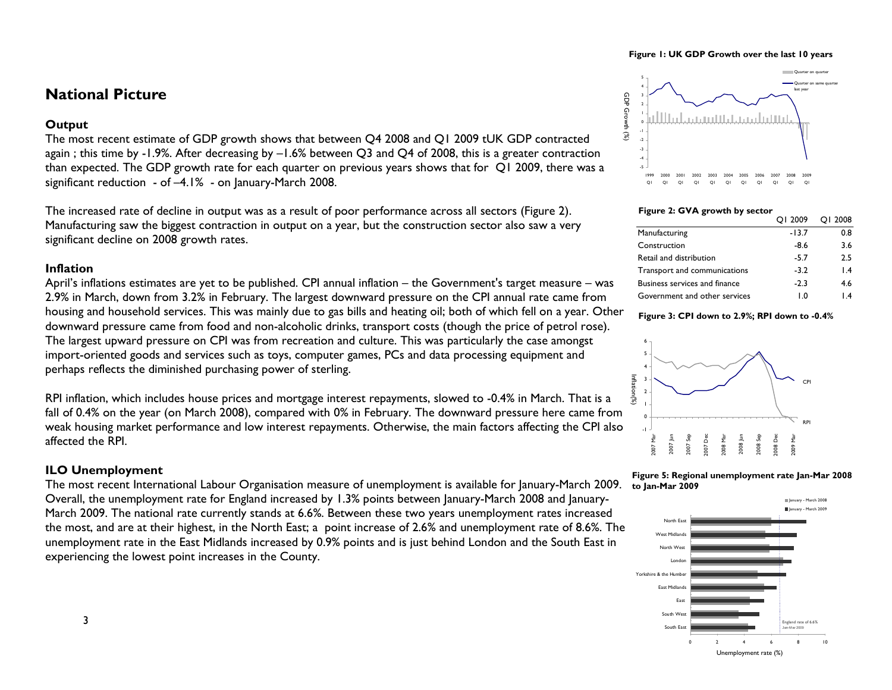#### **Figure 1: UK GDP Growth over the last 10 years**

## **National Picture**

### **Output**

The most recent estimate of GDP growth shows that between Q4 2008 and Q1 2009 tUK GDP contracted again ; this time by -1.9%. After decreasing by –1.6% between Q3 and Q4 of 2008, this is a greater contraction than expected. The GDP growth rate for each quarter on previous years shows that for Q1 2009, there was a significant reduction - of –4.1% - on January-March 2008.

The increased rate of decline in output was as a result of poor performance across all sectors (Figure 2). Manufacturing saw the biggest contraction in output on a year, but the construction sector also saw a very significant decline on 2008 growth rates.

### **Inflation**

April's inflations estimates are yet to be published. CPI annual inflation – the Government's target measure – was 2.9% in March, down from 3.2% in February. The largest downward pressure on the CPI annual rate came from housing and household services. This was mainly due to gas bills and heating oil; both of which fell on a year. Other downward pressure came from food and non-alcoholic drinks, transport costs (though the price of petrol rose). The largest upward pressure on CPI was from recreation and culture. This was particularly the case amongst import-oriented goods and services such as toys, computer games, PCs and data processing equipment and perhaps reflects the diminished purchasing power of sterling.

RPI inflation, which includes house prices and mortgage interest repayments, slowed to -0.4% in March. That is a fall of 0.4% on the year (on March 2008), compared with 0% in February. The downward pressure here came from weak housing market performance and low interest repayments. Otherwise, the main factors affecting the CPI also affected the RPI.

### **ILO Unemployment**

The most recent International Labour Organisation measure of unemployment is available for January-March 2009. Overall, the unemployment rate for England increased by 1.3% points between January-March 2008 and January-March 2009. The national rate currently stands at 6.6%. Between these two years unemployment rates increased the most, and are at their highest, in the North East; a point increase of 2.6% and unemployment rate of 8.6%. The unemployment rate in the East Midlands increased by 0.9% points and is just behind London and the South East in experiencing the lowest point increases in the County.



#### **Figure 2: GVA growth by sector**

|                               | OI 2009      | OI 2008         |
|-------------------------------|--------------|-----------------|
| Manufacturing                 | $-13.7$      | 0.8             |
| Construction                  | $-8.6$       | 3.6             |
| Retail and distribution       | $-5.7$       | 2.5             |
| Transport and communications  | $-3.2$       | $\mathsf{I}$ .4 |
| Business services and finance | $-2.3$       | 4.6             |
| Government and other services | $\mathbf{0}$ | $\mathsf{I}$ .4 |

#### **Figure 3: CPI down to 2.9%; RPI down to -0.4%**





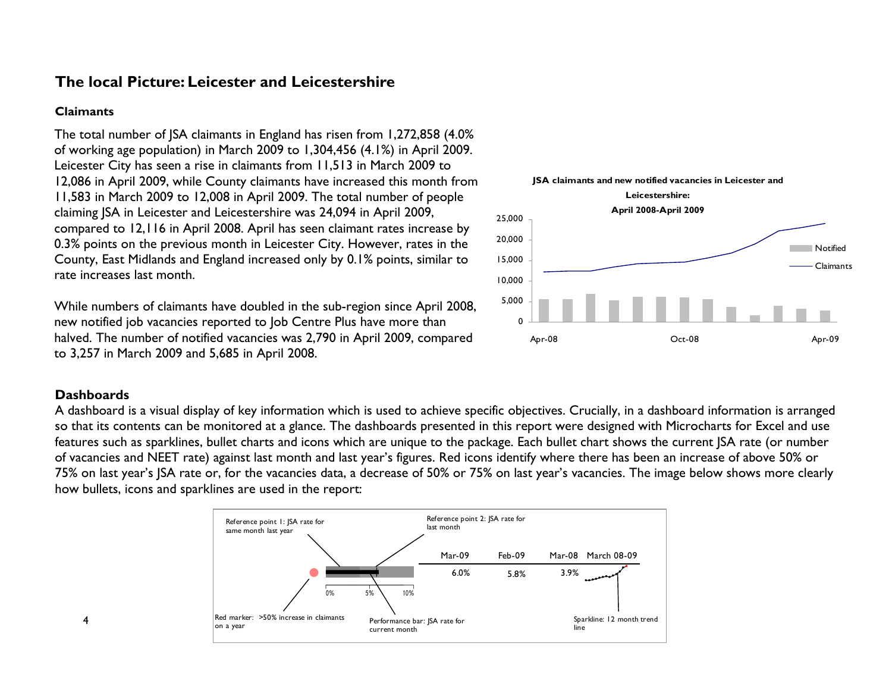# **The local Picture: Leicester and Leicestershire**

### **Claimants**

The total number of JSA claimants in England has risen from 1,272,858 (4.0% of working age population) in March 2009 to 1,304,456 (4.1%) in April 2009. Leicester City has seen a rise in claimants from 11,513 in March 2009 to 12,086 in April 2009, while County claimants have increased this month from 11,583 in March 2009 to 12,008 in April 2009. The total number of people claiming JSA in Leicester and Leicestershire was 24,094 in April 2009, compared to 12,116 in April 2008. April has seen claimant rates increase by 0.3% points on the previous month in Leicester City. However, rates in the County, East Midlands and England increased only by 0.1% points, similar to rate increases last month.

While numbers of claimants have doubled in the sub-region since April 2008, new notified job vacancies reported to Job Centre Plus have more than halved. The number of notified vacancies was 2,790 in April 2009, compared to 3,257 in March 2009 and 5,685 in April 2008.



### **Dashboards**

A dashboard is a visual display of key information which is used to achieve specific objectives. Crucially, in a dashboard information is arranged so that its contents can be monitored at a glance. The dashboards presented in this report were designed with Microcharts for Excel and use features such as sparklines, bullet charts and icons which are unique to the package. Each bullet chart shows the current JSA rate (or number of vacancies and NEET rate) against last month and last year's figures. Red icons identify where there has been an increase of above 50% or 75% on last year's JSA rate or, for the vacancies data, a decrease of 50% or 75% on last year's vacancies. The image below shows more clearly how bullets, icons and sparklines are used in the report:



4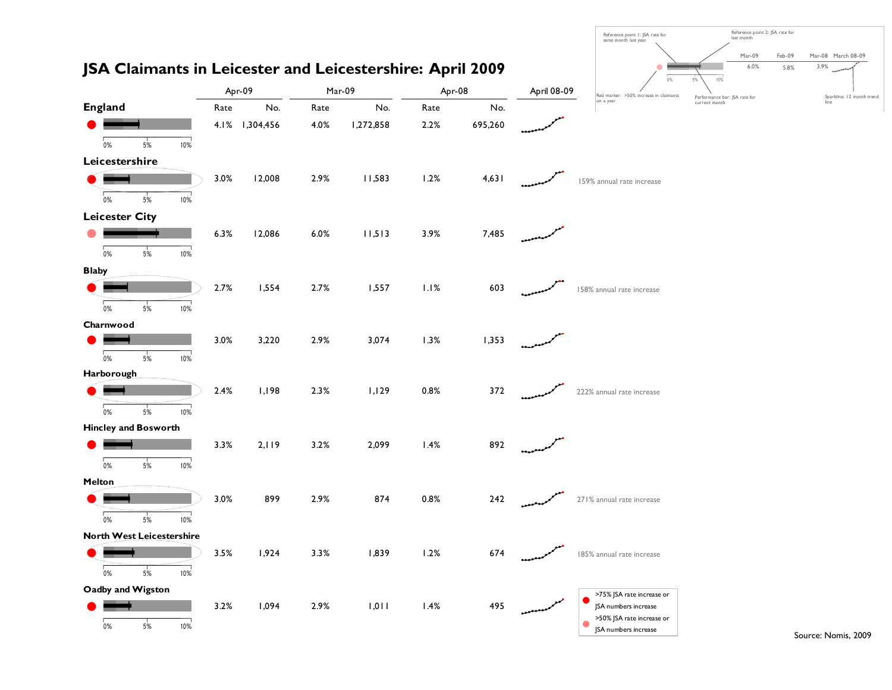

Source: Nomis, 2009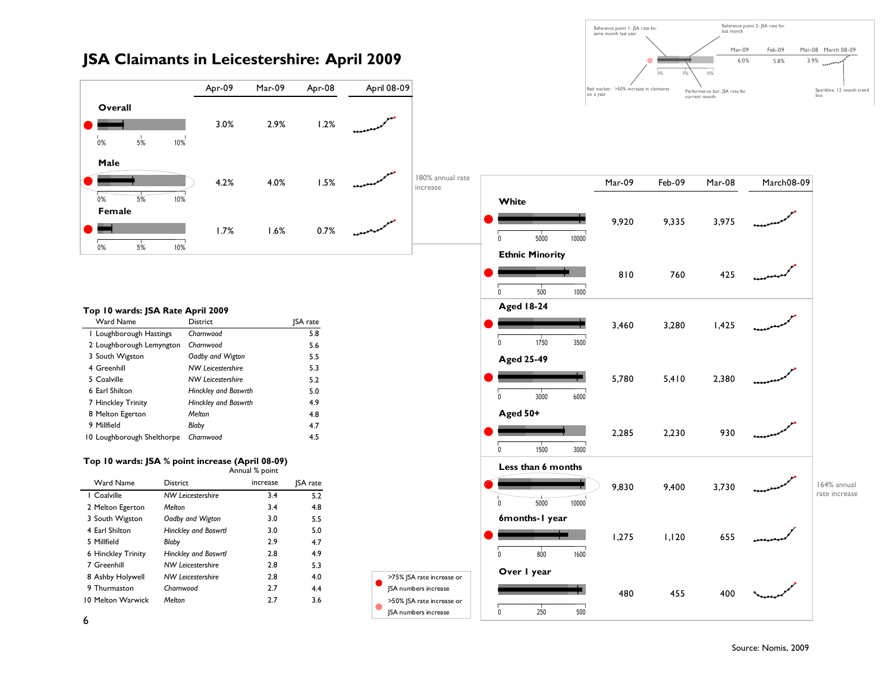

## **JSA Claimants in Leicestershire: April 2009**

#### **Top 10 wards: JSA Rate April 2009**

| Ward Name                  | <b>District</b>             | <b>ISA</b> rate |
|----------------------------|-----------------------------|-----------------|
| I Loughborough Hastings    | Charnwood                   | 5.8             |
| 2 Loughborough Lemyngton   | Charnwood                   | 5.6             |
| 3 South Wigston            | Oadby and Wigton            | 5.5             |
| 4 Greenhill                | <b>NW Leicestershire</b>    | 5.3             |
| 5 Coalville                | <b>NW Leicestershire</b>    | 5.2             |
| 6 Earl Shilton             | Hinckley and Boswrth        | 5.0             |
| 7 Hinckley Trinity         | <b>Hinckley and Boswrth</b> | 4.9             |
| 8 Melton Egerton           | Melton                      | 4.8             |
| 9 Millfield                | Blaby                       | 4.7             |
| 10 Loughborough Shelthorpe | Charnwood                   | 4.5             |

#### **Top 10 wards: JSA % point increase (April 08-09)**  Annual % point

| Ward Name          | <b>District</b>             | increase | <b>ISA</b> rate |
|--------------------|-----------------------------|----------|-----------------|
| I Coalville        | <b>NW Leicestershire</b>    | 3.4      | 5.2             |
| 2 Melton Egerton   | Melton                      | 3.4      | 4.8             |
| 3 South Wigston    | Oadby and Wigton            | 3.0      | 5.5             |
| 4 Earl Shilton     | <b>Hinckley and Boswrth</b> | 3.0      | 5.0             |
| 5 Millfield        | Blaby                       | 2.9      | 4.7             |
| 6 Hinckley Trinity | <b>Hinckley and Boswrth</b> | 2.8      | 4.9             |
| 7 Greenhill        | <b>NW Leicestershire</b>    | 2.8      | 5.3             |
| 8 Ashby Holywell   | <b>NW Leicestershire</b>    | 2.8      | 4.0             |
| 9 Thurmaston       | Charnwood                   | 2.7      | 4.4             |
| 10 Melton Warwick  | Melton                      | 27       | 3.6             |
|                    |                             |          |                 |

 $\bullet$ 

 $\bullet$ 



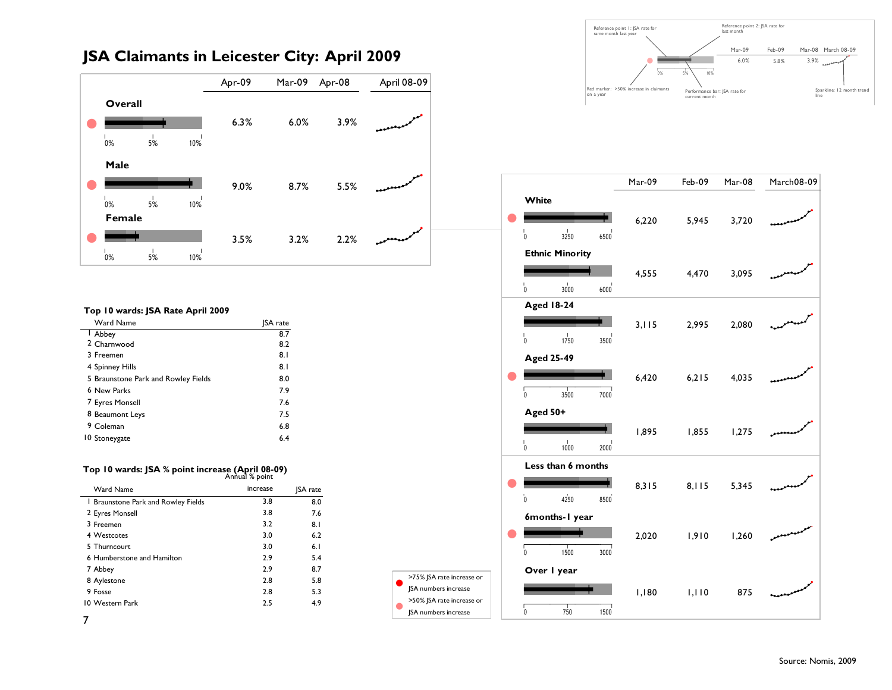# **JSA Claimants in Leicester City: April 2009**



#### **Top 10 wards: JSA Rate April 2009**

| Ward Name                           | <b>ISA</b> rate |
|-------------------------------------|-----------------|
| I Abbey                             | 8.7             |
| 2 Charnwood                         | 8.2             |
| 3 Freemen                           | 8.1             |
| 4 Spinney Hills                     | 8.1             |
| 5 Braunstone Park and Rowley Fields | 8.0             |
| 6 New Parks                         | 7.9             |
| 7 Eyres Monsell                     | 7.6             |
| 8 Beaumont Leys                     | 7.5             |
| 9 Coleman                           | 6.8             |
| 10 Stoneygate                       | 6.4             |

## **Top 10 wards: JSA % point increase (April 08-09)**  Annual % point

| Ward Name                           | increase | <b>SA</b> rate |
|-------------------------------------|----------|----------------|
| I Braunstone Park and Rowley Fields | 3.8      | 8.0            |
| 2 Eyres Monsell                     | 3.8      | 7.6            |
| 3 Freemen                           | 3.2      | 8.1            |
| 4 Westcotes                         | 3.0      | 6.2            |
| 5 Thurncourt                        | 3.0      | 6.1            |
| 6 Humberstone and Hamilton          | 2.9      | 5.4            |
| 7 Abbey                             | 2.9      | 8.7            |
| 8 Aylestone                         | 2.8      | 5.8            |
| 9 Fosse                             | 2.8      | 5.3            |
| 10 Western Park                     | 2.5      | 4.9            |
|                                     |          |                |

 $\bullet$ 

 $\bullet$ 

Performance bar: JSA rate for current month Reference point 2: JSA rate for last monthSparkline: 12 month trend line Reference point 1: JSA rate for same month last year Red marker: >50% increase in claimants on a year Mar-09 Feb-09 Mar-08 March 08-09**6.0%** 5.8% 3.9% n<br>Nannannn 0% 5%  $-5\%$  10%



7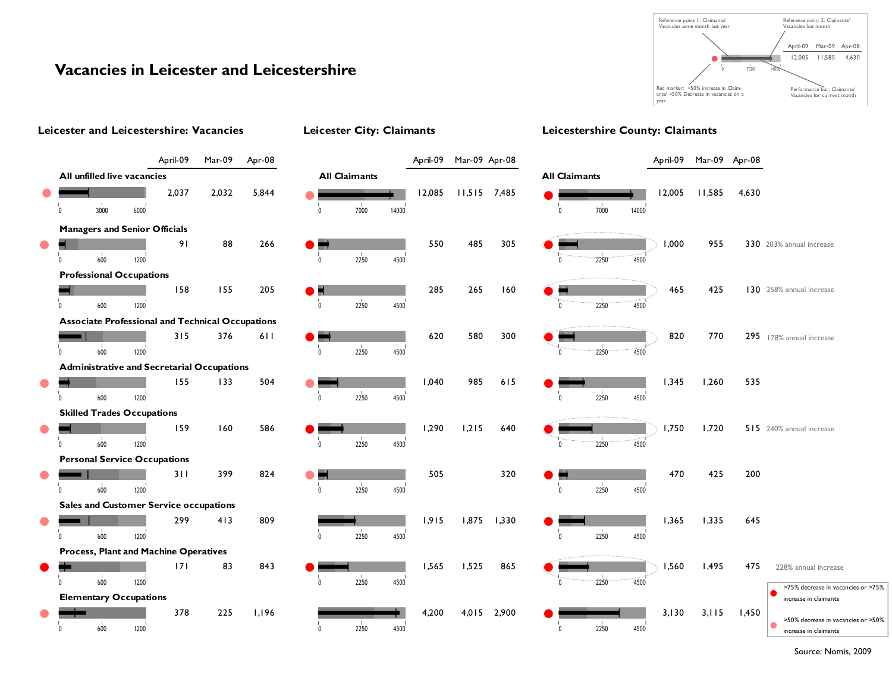

# **Vacancies in Leicester and Leicestershire**



Source: Nomis, 2009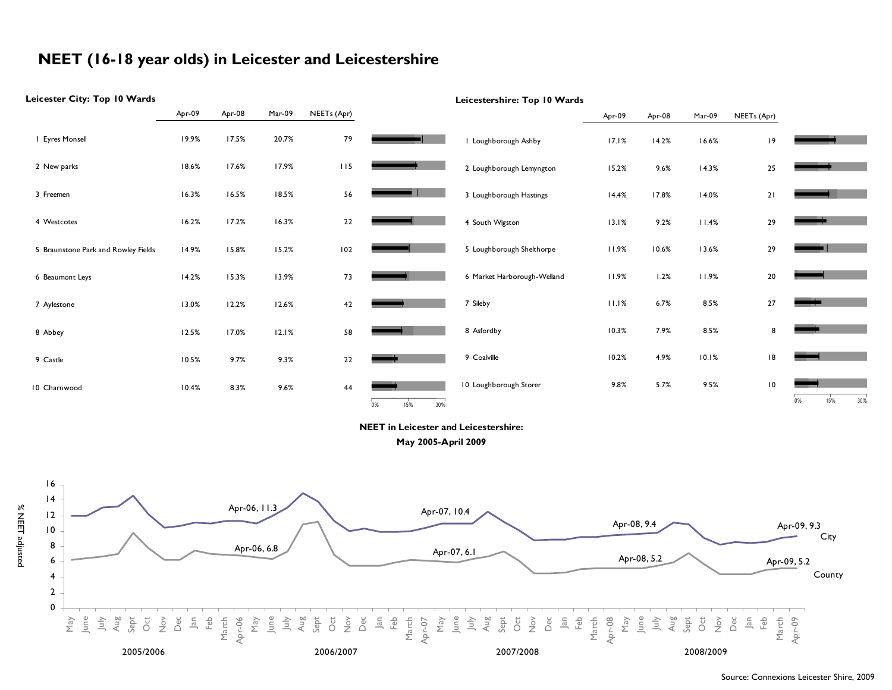# **NEET (16-18 year olds) in Leicester and Leicestershire**

#### **Leicester City: Top 10 Wards Leicestershire: Top 10 Wards** Apr-09 Apr-08 Mar-09 NEETs (Apr) Apr-09 Apr-08 Mar-09 NEETs (Apr) <sup>1</sup> Eyres Monsell 19.9% 17.5% 20.7% <sup>79</sup> <sup>1</sup> Loughborough Ashby 17.1% 14.2% 16.6% <sup>19</sup> 2 New parks 18.6% 17.6% 17.9% 115 <sup>2</sup> Loughborough Lemyngton 15.2% 9.6% 14.3% <sup>25</sup> 3 Freemen 16.3% 16.5% 18.5% 56 $\sim$   $\sim$   $\sim$   $\sim$   $\sim$   $\sim$   $\sim$ <sup>3</sup> Loughborough Hastings 14.4% 17.8% 14.0% <sup>21</sup> 4 Westcotes 16.2% 17.2% 16.3% 22<sup>4</sup> South Wigston 13.1% 9.2% 11.4% <sup>29</sup> <sup>5</sup> Loughborough Shelthorpe 11.9% 10.6% 13.6% <sup>29</sup> <sup>5</sup> Braunstone Park and Rowley Fields 14.9% 15.8% 15.2% <sup>102</sup> <sup>6</sup> Beaumont Leys 14.2% 15.3% 13.9% <sup>73</sup> <sup>6</sup> Market Harborough-Welland 11.9% 1.2% 11.9% <sup>20</sup> <sup>7</sup> Sileby 11.1% 6.7% 8.5% <sup>27</sup> 7 Aylestone 13.0% 12.2% 12.6% 42 <sup>8</sup> Asfordby 10.3% 7.9% 8.5% <sup>8</sup> 8 Abbey 12.5% 17.0% 12.1% 58 9 Coalville 10.2% 4.9% 10.1% 18 $\overline{\phantom{a}}$  , and the set of  $\overline{\phantom{a}}$  $\overline{\phantom{a}}$   $\overline{\phantom{a}}$   $\overline{\phantom{a}}$   $\overline{\phantom{a}}$   $\overline{\phantom{a}}$   $\overline{\phantom{a}}$   $\overline{\phantom{a}}$   $\overline{\phantom{a}}$   $\overline{\phantom{a}}$   $\overline{\phantom{a}}$   $\overline{\phantom{a}}$   $\overline{\phantom{a}}$   $\overline{\phantom{a}}$   $\overline{\phantom{a}}$   $\overline{\phantom{a}}$   $\overline{\phantom{a}}$   $\overline{\phantom{a}}$   $\overline{\phantom{a}}$   $\overline{\$ 9 Castle 10.5% 9.7% 9.3% 22<sup>10</sup> Loughborough Storer 9.8% 5.7% 9.5% <sup>10</sup> 10 Charnwood 10.4% 8.3% 9.6% 44 $\overline{a}$  and  $\overline{a}$  and  $\overline{a}$  and  $\overline{a}$  and  $\overline{a}$  and  $\overline{a}$  and  $\overline{a}$  and  $\overline{a}$  and  $\overline{a}$  and  $\overline{a}$  and  $\overline{a}$  and  $\overline{a}$  and  $\overline{a}$  and  $\overline{a}$  and  $\overline{a}$  and  $\overline{a}$  and  $\overline{a}$  and  $\frac{1}{15}$  $15\%$  30%  $15%$  $\frac{1}{15}$  $15\%$  30% **NEET in Leicester and Leicestershire: May 2005-April 2009** 16 14Apr-06, 11.3 Apr-07, 10.4 % NEET adjusted % NEET adjusted 12 Apr-08, 9.4 Apr-09, 9.3 10 City 8Apr-06, 6.8 Apr-07, 6.1 Apr-08, 5.2 **Apr-09, 5.2** 6County 420Apr-08 Oct March Apr-06 Oct Sept Oct March Sept Oct March Apr-09  $\overline{a}$ Feb May<br>그 그 국<br>Sept d<br>December<br>2015<br>Person May<br>그 그 부명<br>Sept Nov Dec Jan Feb March Apr-07 May<br>그리스<br>Aug Nov Dec Jan Feb May June July Aug Nov Dec 2005/20062006/20072007/2008 2008/2009

#### Source: Connexions Leicester Shire, 2009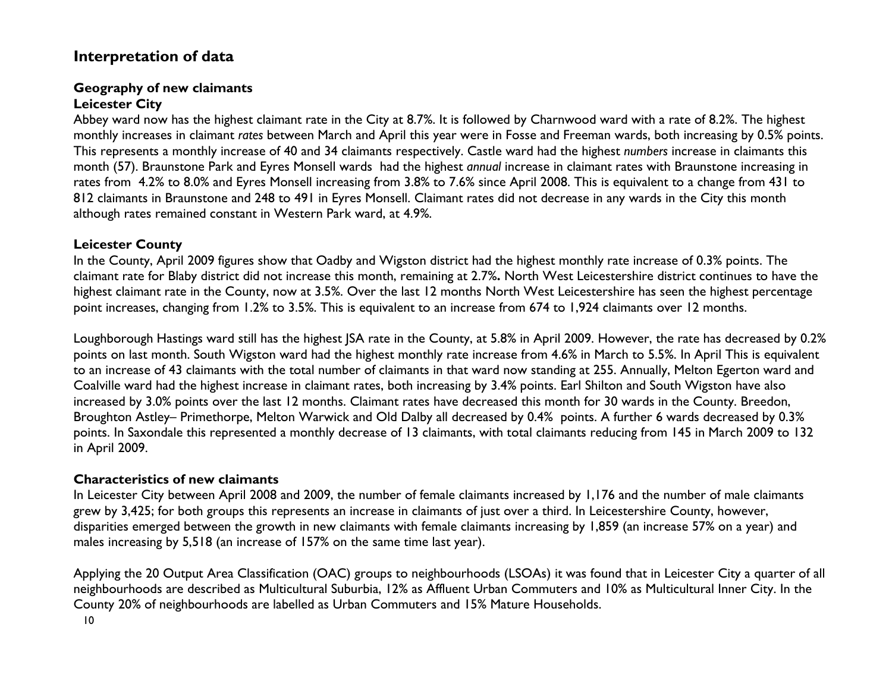# **Interpretation of data**

### **Geography of new claimants Leicester City**

Abbey ward now has the highest claimant rate in the City at 8.7%. It is followed by Charnwood ward with a rate of 8.2%. The highest monthly increases in claimant *rates* between March and April this year were in Fosse and Freeman wards, both increasing by 0.5% points. This represents a monthly increase of 40 and 34 claimants respectively. Castle ward had the highest *numbers* increase in claimants this month (57). Braunstone Park and Eyres Monsell wards had the highest *annual* increase in claimant rates with Braunstone increasing in rates from 4.2% to 8.0% and Eyres Monsell increasing from 3.8% to 7.6% since April 2008. This is equivalent to a change from 431 to 812 claimants in Braunstone and 248 to 491 in Eyres Monsell. Claimant rates did not decrease in any wards in the City this month although rates remained constant in Western Park ward, at 4.9%.

## **Leicester County**

In the County, April 2009 figures show that Oadby and Wigston district had the highest monthly rate increase of 0.3% points. The claimant rate for Blaby district did not increase this month, remaining at 2.7%**.** North West Leicestershire district continues to have the highest claimant rate in the County, now at 3.5%. Over the last 12 months North West Leicestershire has seen the highest percentage point increases, changing from 1.2% to 3.5%. This is equivalent to an increase from 674 to 1,924 claimants over 12 months.

Loughborough Hastings ward still has the highest JSA rate in the County, at 5.8% in April 2009. However, the rate has decreased by 0.2% points on last month. South Wigston ward had the highest monthly rate increase from 4.6% in March to 5.5%. In April This is equivalent to an increase of 43 claimants with the total number of claimants in that ward now standing at 255. Annually, Melton Egerton ward and Coalville ward had the highest increase in claimant rates, both increasing by 3.4% points. Earl Shilton and South Wigston have also increased by 3.0% points over the last 12 months. Claimant rates have decreased this month for 30 wards in the County. Breedon, Broughton Astley– Primethorpe, Melton Warwick and Old Dalby all decreased by 0.4% points. A further 6 wards decreased by 0.3% points. In Saxondale this represented a monthly decrease of 13 claimants, with total claimants reducing from 145 in March 2009 to 132 in April 2009.

## **Characteristics of new claimants**

In Leicester City between April 2008 and 2009, the number of female claimants increased by 1,176 and the number of male claimants grew by 3,425; for both groups this represents an increase in claimants of just over a third. In Leicestershire County, however, disparities emerged between the growth in new claimants with female claimants increasing by 1,859 (an increase 57% on a year) and males increasing by 5,518 (an increase of 157% on the same time last year).

Applying the 20 Output Area Classification (OAC) groups to neighbourhoods (LSOAs) it was found that in Leicester City a quarter of all neighbourhoods are described as Multicultural Suburbia, 12% as Affluent Urban Commuters and 10% as Multicultural Inner City. In the County 20% of neighbourhoods are labelled as Urban Commuters and 15% Mature Households.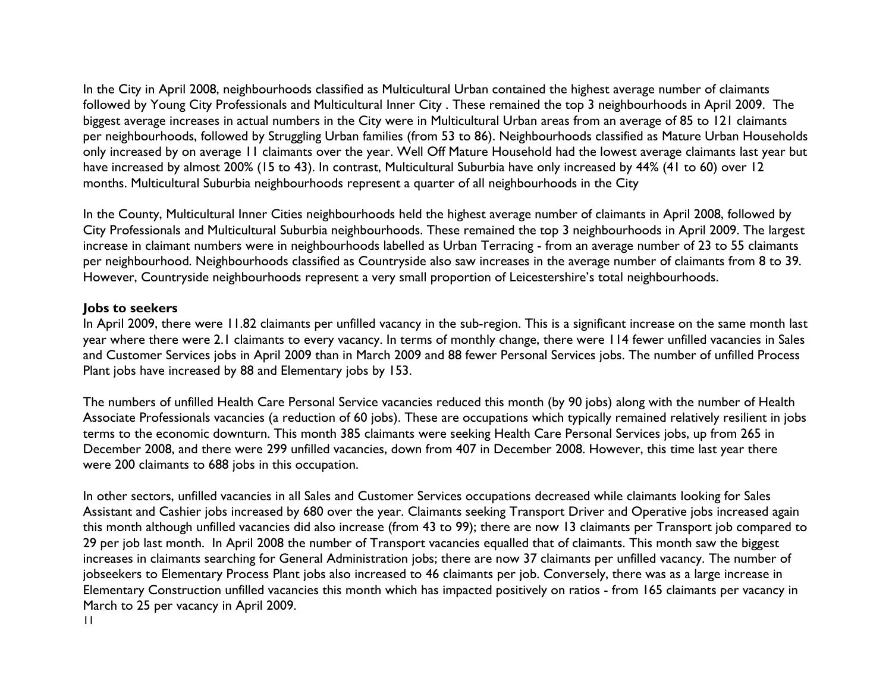In the City in April 2008, neighbourhoods classified as Multicultural Urban contained the highest average number of claimants followed by Young City Professionals and Multicultural Inner City . These remained the top 3 neighbourhoods in April 2009. The biggest average increases in actual numbers in the City were in Multicultural Urban areas from an average of 85 to 121 claimants per neighbourhoods, followed by Struggling Urban families (from 53 to 86). Neighbourhoods classified as Mature Urban Households only increased by on average 11 claimants over the year. Well Off Mature Household had the lowest average claimants last year but have increased by almost 200% (15 to 43). In contrast, Multicultural Suburbia have only increased by 44% (41 to 60) over 12 months. Multicultural Suburbia neighbourhoods represent a quarter of all neighbourhoods in the City

In the County, Multicultural Inner Cities neighbourhoods held the highest average number of claimants in April 2008, followed by City Professionals and Multicultural Suburbia neighbourhoods. These remained the top 3 neighbourhoods in April 2009. The largest increase in claimant numbers were in neighbourhoods labelled as Urban Terracing - from an average number of 23 to 55 claimants per neighbourhood. Neighbourhoods classified as Countryside also saw increases in the average number of claimants from 8 to 39. However, Countryside neighbourhoods represent a very small proportion of Leicestershire's total neighbourhoods.

### **Jobs to seekers**

In April 2009, there were 11.82 claimants per unfilled vacancy in the sub-region. This is a significant increase on the same month last year where there were 2.1 claimants to every vacancy. In terms of monthly change, there were 114 fewer unfilled vacancies in Sales and Customer Services jobs in April 2009 than in March 2009 and 88 fewer Personal Services jobs. The number of unfilled Process Plant jobs have increased by 88 and Elementary jobs by 153.

The numbers of unfilled Health Care Personal Service vacancies reduced this month (by 90 jobs) along with the number of Health Associate Professionals vacancies (a reduction of 60 jobs). These are occupations which typically remained relatively resilient in jobs terms to the economic downturn. This month 385 claimants were seeking Health Care Personal Services jobs, up from 265 in December 2008, and there were 299 unfilled vacancies, down from 407 in December 2008. However, this time last year there were 200 claimants to 688 jobs in this occupation.

11 In other sectors, unfilled vacancies in all Sales and Customer Services occupations decreased while claimants looking for Sales Assistant and Cashier jobs increased by 680 over the year. Claimants seeking Transport Driver and Operative jobs increased again this month although unfilled vacancies did also increase (from 43 to 99); there are now 13 claimants per Transport job compared to 29 per job last month. In April 2008 the number of Transport vacancies equalled that of claimants. This month saw the biggest increases in claimants searching for General Administration jobs; there are now 37 claimants per unfilled vacancy. The number of jobseekers to Elementary Process Plant jobs also increased to 46 claimants per job. Conversely, there was as a large increase in Elementary Construction unfilled vacancies this month which has impacted positively on ratios - from 165 claimants per vacancy in March to 25 per vacancy in April 2009.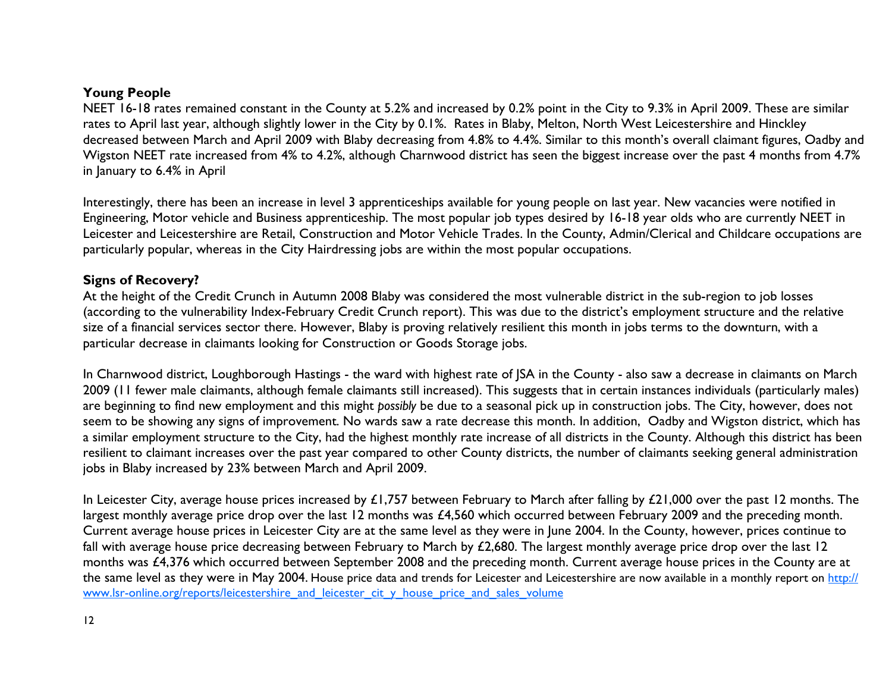### **Young People**

NEET 16-18 rates remained constant in the County at 5.2% and increased by 0.2% point in the City to 9.3% in April 2009. These are similar rates to April last year, although slightly lower in the City by 0.1%. Rates in Blaby, Melton, North West Leicestershire and Hinckley decreased between March and April 2009 with Blaby decreasing from 4.8% to 4.4%. Similar to this month's overall claimant figures, Oadby and Wigston NEET rate increased from 4% to 4.2%, although Charnwood district has seen the biggest increase over the past 4 months from 4.7% in January to 6.4% in April

Interestingly, there has been an increase in level 3 apprenticeships available for young people on last year. New vacancies were notified in Engineering, Motor vehicle and Business apprenticeship. The most popular job types desired by 16-18 year olds who are currently NEET in Leicester and Leicestershire are Retail, Construction and Motor Vehicle Trades. In the County, Admin/Clerical and Childcare occupations are particularly popular, whereas in the City Hairdressing jobs are within the most popular occupations.

### **Signs of Recovery?**

At the height of the Credit Crunch in Autumn 2008 Blaby was considered the most vulnerable district in the sub-region to job losses (according to the vulnerability Index-February Credit Crunch report). This was due to the district's employment structure and the relative size of a financial services sector there. However, Blaby is proving relatively resilient this month in jobs terms to the downturn, with a particular decrease in claimants looking for Construction or Goods Storage jobs.

In Charnwood district, Loughborough Hastings - the ward with highest rate of JSA in the County - also saw a decrease in claimants on March 2009 (11 fewer male claimants, although female claimants still increased). This suggests that in certain instances individuals (particularly males) are beginning to find new employment and this might *possibly* be due to a seasonal pick up in construction jobs. The City, however, does not seem to be showing any signs of improvement. No wards saw a rate decrease this month. In addition, Oadby and Wigston district, which has a similar employment structure to the City, had the highest monthly rate increase of all districts in the County. Although this district has been resilient to claimant increases over the past year compared to other County districts, the number of claimants seeking general administration jobs in Blaby increased by 23% between March and April 2009.

In Leicester City, average house prices increased by  $£1,757$  between February to March after falling by  $£21,000$  over the past 12 months. The largest monthly average price drop over the last 12 months was £4,560 which occurred between February 2009 and the preceding month. Current average house prices in Leicester City are at the same level as they were in June 2004. In the County, however, prices continue to fall with average house price decreasing between February to March by £2,680. The largest monthly average price drop over the last 12 months was £4,376 which occurred between September 2008 and the preceding month. Current average house prices in the County are at the same level as they were in May 2004. House price data and trends for Leicester and Leicestershire are now available in a monthly report on http:// www.lsr-online.org/reports/leicestershire\_and\_leicester\_cit\_y\_house\_price\_and\_sales\_volume